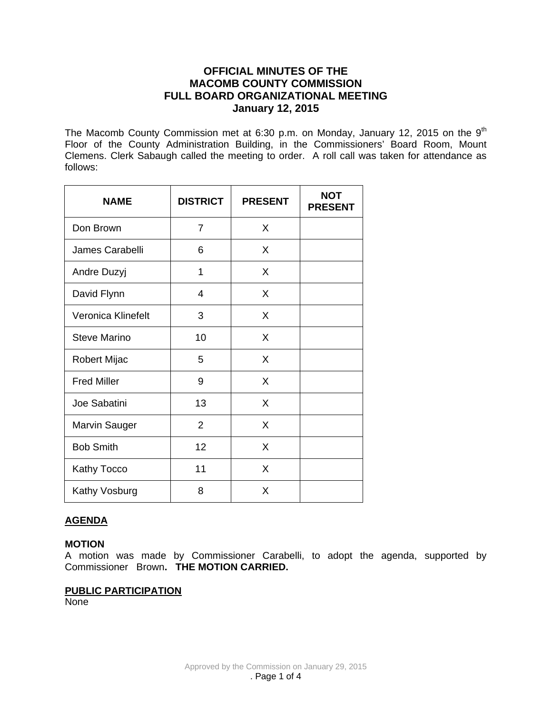# **OFFICIAL MINUTES OF THE MACOMB COUNTY COMMISSION FULL BOARD ORGANIZATIONAL MEETING January 12, 2015**

The Macomb County Commission met at 6:30 p.m. on Monday, January 12, 2015 on the 9<sup>th</sup> Floor of the County Administration Building, in the Commissioners' Board Room, Mount Clemens. Clerk Sabaugh called the meeting to order. A roll call was taken for attendance as follows:

| <b>NAME</b>          | <b>DISTRICT</b> | <b>PRESENT</b> | <b>NOT</b><br><b>PRESENT</b> |
|----------------------|-----------------|----------------|------------------------------|
| Don Brown            | $\overline{7}$  | X              |                              |
| James Carabelli      | 6               | X              |                              |
| Andre Duzyj          | 1               | X              |                              |
| David Flynn          | 4               | X              |                              |
| Veronica Klinefelt   | 3               | X              |                              |
| <b>Steve Marino</b>  | 10              | X              |                              |
| Robert Mijac         | 5               | X              |                              |
| <b>Fred Miller</b>   | 9               | X              |                              |
| Joe Sabatini         | 13              | X              |                              |
| <b>Marvin Sauger</b> | $\overline{2}$  | X              |                              |
| <b>Bob Smith</b>     | 12              | X              |                              |
| Kathy Tocco          | 11              | X              |                              |
| Kathy Vosburg        | 8               | X              |                              |

# **AGENDA**

### **MOTION**

A motion was made by Commissioner Carabelli, to adopt the agenda, supported by Commissioner Brown**. THE MOTION CARRIED.** 

# **PUBLIC PARTICIPATION**

None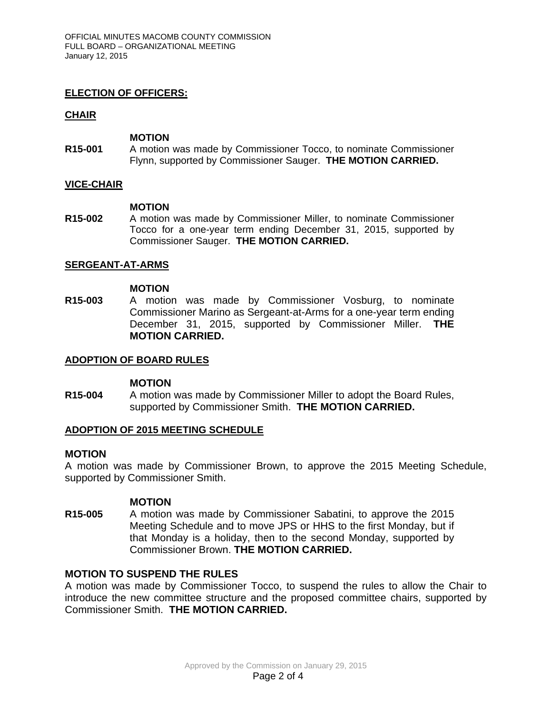# **ELECTION OF OFFICERS:**

# **CHAIR**

### **MOTION**

**R15-001** A motion was made by Commissioner Tocco, to nominate Commissioner Flynn, supported by Commissioner Sauger. **THE MOTION CARRIED.**

# **VICE-CHAIR**

### **MOTION**

**R15-002** A motion was made by Commissioner Miller, to nominate Commissioner Tocco for a one-year term ending December 31, 2015, supported by Commissioner Sauger. **THE MOTION CARRIED.**

# **SERGEANT-AT-ARMS**

### **MOTION**

**R15-003** A motion was made by Commissioner Vosburg, to nominate Commissioner Marino as Sergeant-at-Arms for a one-year term ending December 31, 2015, supported by Commissioner Miller. **THE MOTION CARRIED.**

## **ADOPTION OF BOARD RULES**

### **MOTION**

**R15-004** A motion was made by Commissioner Miller to adopt the Board Rules, supported by Commissioner Smith. **THE MOTION CARRIED.**

### **ADOPTION OF 2015 MEETING SCHEDULE**

### **MOTION**

A motion was made by Commissioner Brown, to approve the 2015 Meeting Schedule, supported by Commissioner Smith.

### **MOTION**

**R15-005** A motion was made by Commissioner Sabatini, to approve the 2015 Meeting Schedule and to move JPS or HHS to the first Monday, but if that Monday is a holiday, then to the second Monday, supported by Commissioner Brown. **THE MOTION CARRIED.** 

### **MOTION TO SUSPEND THE RULES**

A motion was made by Commissioner Tocco, to suspend the rules to allow the Chair to introduce the new committee structure and the proposed committee chairs, supported by Commissioner Smith. **THE MOTION CARRIED.**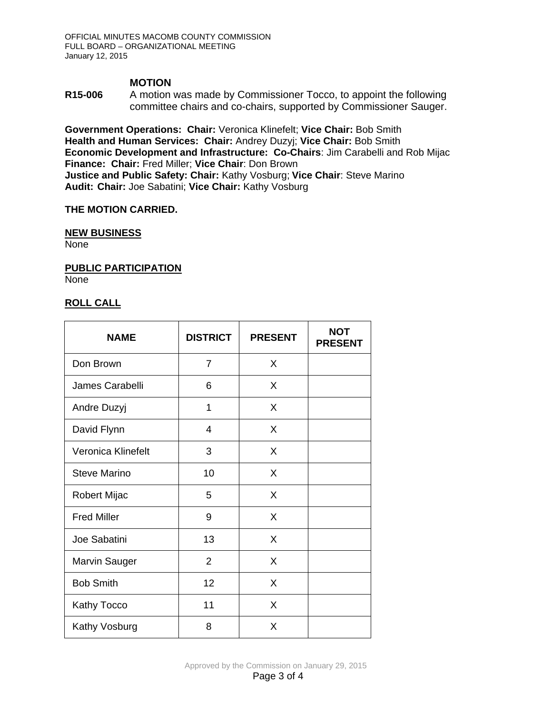## **MOTION**

**R15-006** A motion was made by Commissioner Tocco, to appoint the following committee chairs and co-chairs, supported by Commissioner Sauger.

**Government Operations: Chair:** Veronica Klinefelt; **Vice Chair:** Bob Smith **Health and Human Services: Chair:** Andrey Duzyj; **Vice Chair:** Bob Smith **Economic Development and Infrastructure: Co-Chairs**: Jim Carabelli and Rob Mijac **Finance: Chair:** Fred Miller; **Vice Chair**: Don Brown **Justice and Public Safety: Chair:** Kathy Vosburg; **Vice Chair**: Steve Marino **Audit: Chair:** Joe Sabatini; **Vice Chair:** Kathy Vosburg

## **THE MOTION CARRIED.**

#### **NEW BUSINESS**

None

**PUBLIC PARTICIPATION**

None

# **ROLL CALL**

| <b>NAME</b>         | <b>DISTRICT</b> | <b>PRESENT</b> | <b>NOT</b><br><b>PRESENT</b> |
|---------------------|-----------------|----------------|------------------------------|
| Don Brown           | 7               | X              |                              |
| James Carabelli     | 6               | X              |                              |
| Andre Duzyj         | 1               | X              |                              |
| David Flynn         | 4               | X              |                              |
| Veronica Klinefelt  | 3               | X              |                              |
| <b>Steve Marino</b> | 10              | X              |                              |
| Robert Mijac        | 5               | X              |                              |
| <b>Fred Miller</b>  | 9               | X              |                              |
| Joe Sabatini        | 13              | X              |                              |
| Marvin Sauger       | $\overline{2}$  | X              |                              |
| <b>Bob Smith</b>    | 12              | X              |                              |
| Kathy Tocco         | 11              | X              |                              |
| Kathy Vosburg       | 8               | X              |                              |